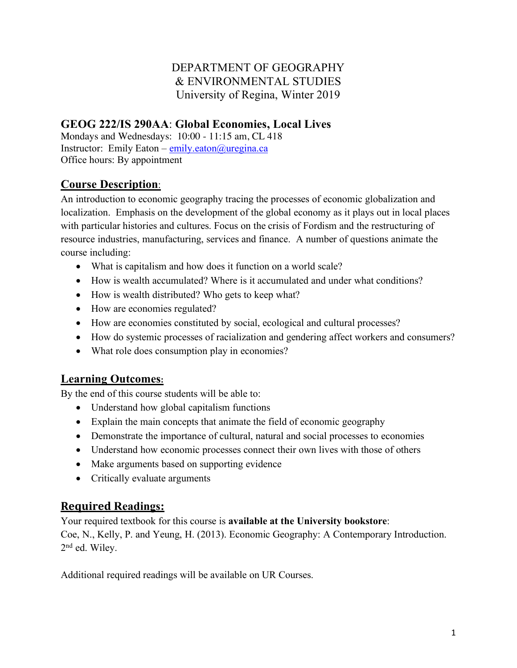# DEPARTMENT OF GEOGRAPHY & ENVIRONMENTAL STUDIES University of Regina, Winter 2019

# **GEOG 222/IS 290AA**: **Global Economies, Local Lives**

Mondays and Wednesdays: 10:00 - 11:15 am, CL 418 Instructor: Emily Eaton – emily.eaton@uregina.ca Office hours: By appointment

## **Course Description**:

An introduction to economic geography tracing the processes of economic globalization and localization. Emphasis on the development of the global economy as it plays out in local places with particular histories and cultures. Focus on the crisis of Fordism and the restructuring of resource industries, manufacturing, services and finance. A number of questions animate the course including:

- What is capitalism and how does it function on a world scale?
- How is wealth accumulated? Where is it accumulated and under what conditions?
- How is wealth distributed? Who gets to keep what?
- How are economies regulated?
- How are economies constituted by social, ecological and cultural processes?
- How do systemic processes of racialization and gendering affect workers and consumers?
- What role does consumption play in economies?

### **Learning Outcomes:**

By the end of this course students will be able to:

- Understand how global capitalism functions
- Explain the main concepts that animate the field of economic geography
- Demonstrate the importance of cultural, natural and social processes to economies
- Understand how economic processes connect their own lives with those of others
- Make arguments based on supporting evidence
- Critically evaluate arguments

### **Required Readings:**

Your required textbook for this course is **available at the University bookstore**: Coe, N., Kelly, P. and Yeung, H. (2013). Economic Geography: A Contemporary Introduction. 2nd ed. Wiley.

Additional required readings will be available on UR Courses.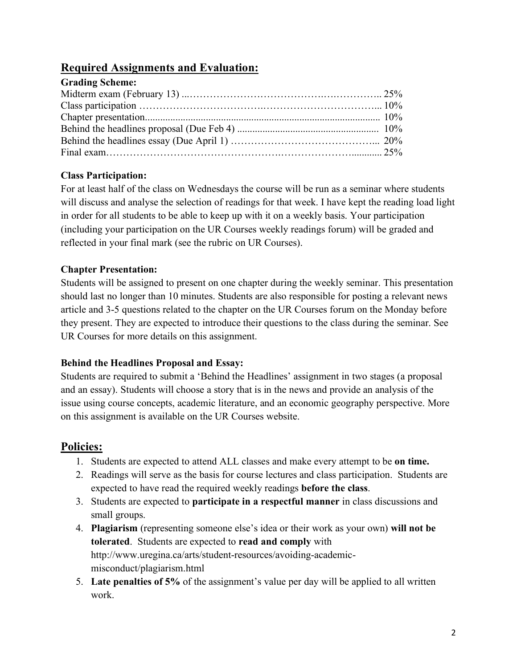### **Required Assignments and Evaluation:**

| <b>Grading Scheme:</b> |  |
|------------------------|--|
|                        |  |
|                        |  |
|                        |  |
|                        |  |
|                        |  |
|                        |  |

#### **Class Participation:**

For at least half of the class on Wednesdays the course will be run as a seminar where students will discuss and analyse the selection of readings for that week. I have kept the reading load light in order for all students to be able to keep up with it on a weekly basis. Your participation (including your participation on the UR Courses weekly readings forum) will be graded and reflected in your final mark (see the rubric on UR Courses).

#### **Chapter Presentation:**

Students will be assigned to present on one chapter during the weekly seminar. This presentation should last no longer than 10 minutes. Students are also responsible for posting a relevant news article and 3-5 questions related to the chapter on the UR Courses forum on the Monday before they present. They are expected to introduce their questions to the class during the seminar. See UR Courses for more details on this assignment.

#### **Behind the Headlines Proposal and Essay:**

Students are required to submit a 'Behind the Headlines' assignment in two stages (a proposal and an essay). Students will choose a story that is in the news and provide an analysis of the issue using course concepts, academic literature, and an economic geography perspective. More on this assignment is available on the UR Courses website.

## **Policies:**

- 1. Students are expected to attend ALL classes and make every attempt to be **on time.**
- 2. Readings will serve as the basis for course lectures and class participation. Students are expected to have read the required weekly readings **before the class**.
- 3. Students are expected to **participate in a respectful manner** in class discussions and small groups.
- 4. **Plagiarism** (representing someone else's idea or their work as your own) **will not be tolerated**. Students are expected to **read and comply** with http://www.uregina.ca/arts/student-resources/avoiding-academicmisconduct/plagiarism.html
- 5. **Late penalties of 5%** of the assignment's value per day will be applied to all written work.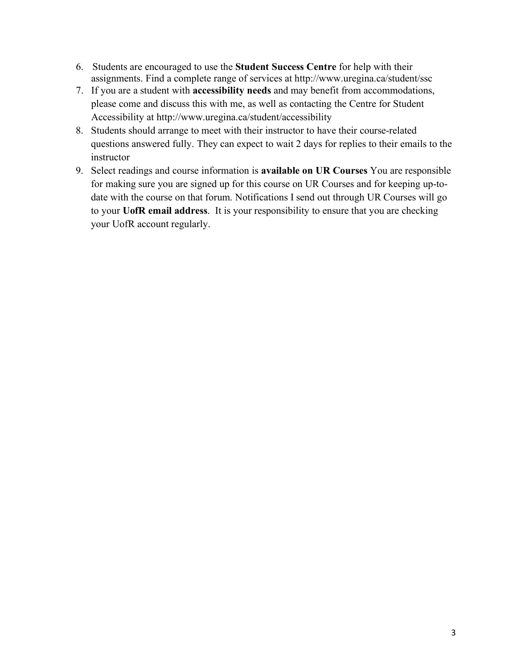- 6. Students are encouraged to use the **Student Success Centre** for help with their assignments. Find a complete range of services at http://www.uregina.ca/student/ssc
- 7. If you are a student with **accessibility needs** and may benefit from accommodations, please come and discuss this with me, as well as contacting the Centre for Student Accessibility at http://www.uregina.ca/student/accessibility
- 8. Students should arrange to meet with their instructor to have their course-related questions answered fully. They can expect to wait 2 days for replies to their emails to the instructor
- 9. Select readings and course information is **available on UR Courses** You are responsible for making sure you are signed up for this course on UR Courses and for keeping up-todate with the course on that forum. Notifications I send out through UR Courses will go to your **UofR email address**. It is your responsibility to ensure that you are checking your UofR account regularly.